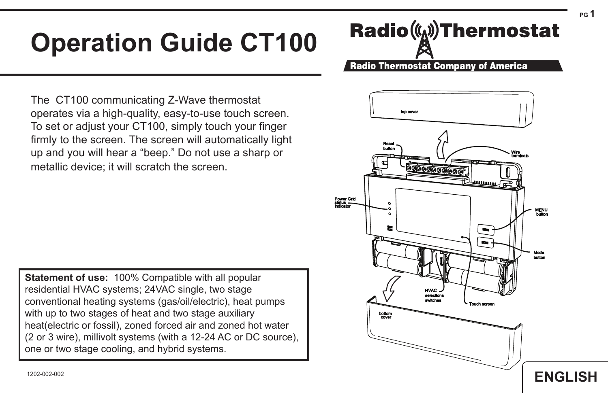# **Operation Guide CT100**

## Radio((A))Thermostat **Radio Thermostat Company of America**

The CT100 communicating Z-Wave thermostat operates via a high-quality, easy-to-use touch screen. To set or adjust your CT100, simply touch your finger firmly to the screen. The screen will automatically light up and you will hear a "beep." Do not use a sharp or metallic device; it will scratch the screen.

**Statement of use:** 100% Compatible with all popular residential HVAC systems; 24VAC single, two stage conventional heating systems (gas/oil/electric), heat pumps with up to two stages of heat and two stage auxiliary heat(electric or fossil), zoned forced air and zoned hot water (2 or 3 wire), millivolt systems (with a 12-24 AC or DC source), one or two stage cooling, and hybrid systems.

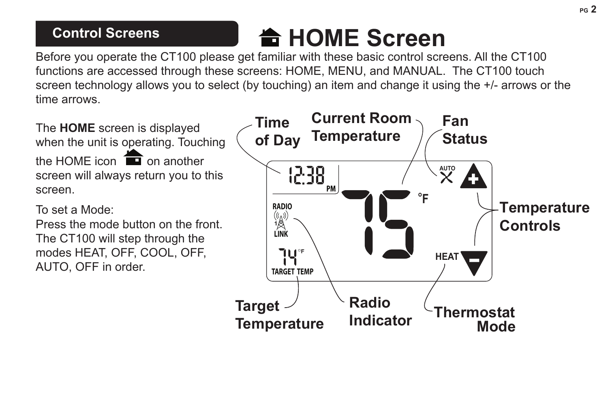## **Control Screens Control Screen**

Before you operate the CT100 please get familiar with these basic control screens. All the CT100 functions are accessed through these screens: HOME, MENU, and MANUAL. The CT100 touch screen technology allows you to select (by touching) an item and change it using the  $+/-$  arrows or the time arrows.

The **HOME** screen is displayed when the unit is operating. Touching the HOME icon  $\Box$  on another screen will always return you to this screen.

To set a Mode:

Press the mode button on the front. The CT100 will step through the modes HEAT, OFF, COOL, OFF, AUTO, OFF in order.

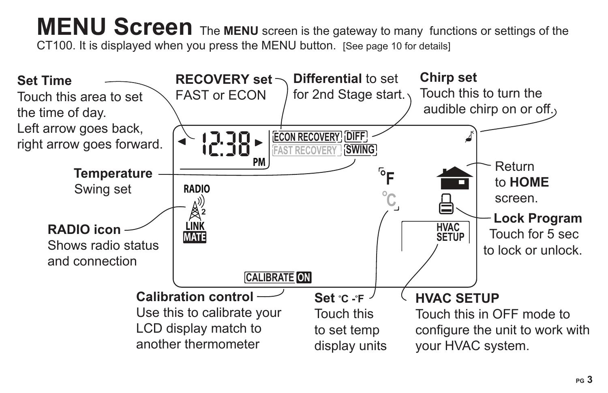**MENU Screen** The **MENU** screen is the gateway to many functions or settings of the CT100. It is displayed when you press the MENU button. [See page 10 for details]

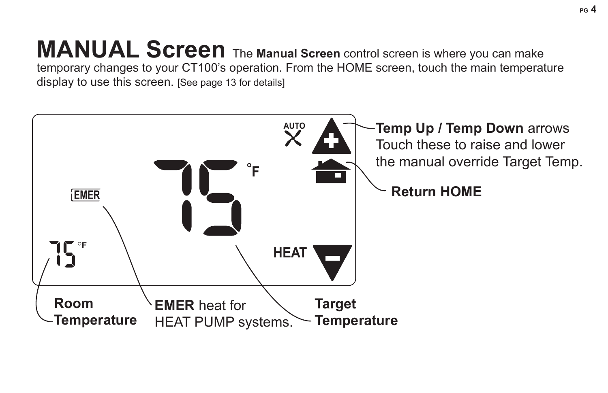# **MANUAL Screen** The **Manual Screen** control screen is where you can make

temporary changes to your CT100's operation. From the HOME screen, touch the main temperature display to use this screen. [See page 13 for details]

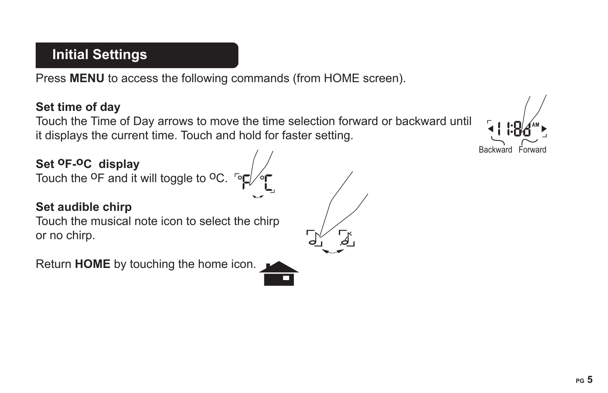### **Initial Settings**

Press **MENU** to access the following commands (from HOME screen).

#### **Set time of day**

Touch the Time of Day arrows to move the time selection forward or backward until it displays the current time. Touch and hold for faster setting.

#### **Set oF-oC display**

Touch the <sup>O</sup>F and it will toggle to <sup>O</sup>C.

#### **Set audible chirp**

Touch the musical note icon to select the chirp or no chirp.

Return **HOME** by touching the home icon.



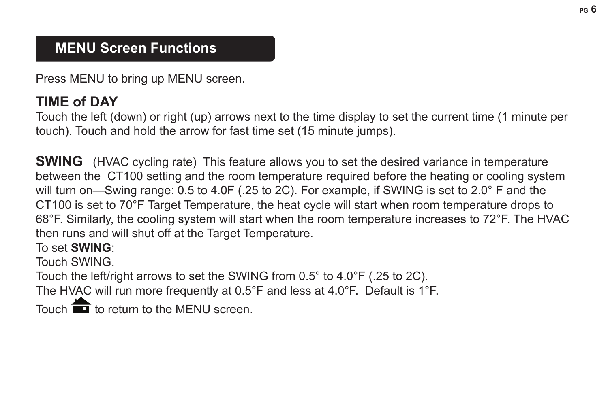### **MENU Screen Functions**

Press MENU to bring up MENU screen.

### **TIME of DAY**

Touch the left (down) or right (up) arrows next to the time display to set the current time (1 minute per touch). Touch and hold the arrow for fast time set (15 minute jumps).

**SWING** (HVAC cycling rate) This feature allows you to set the desired variance in temperature between the CT100 setting and the room temperature required before the heating or cooling system will turn on—Swing range: 0.5 to 4.0F (.25 to 2C). For example, if SWING is set to 2.0° F and the CT100 is set to 70°F Target Temperature, the heat cycle will start when room temperature drops to 68°F. Similarly, the cooling system will start when the room temperature increases to 72°F. The HVAC then runs and will shut off at the Target Temperature.

#### To set **SWING**:

Touch SWING.

Touch the left/right arrows to set the SWING from 0.5° to 4.0°F (.25 to 2C).

The HVAC will run more frequently at 0.5°F and less at 4.0°F. Default is 1°F.

Touch  $\blacksquare$  to return to the MENU screen.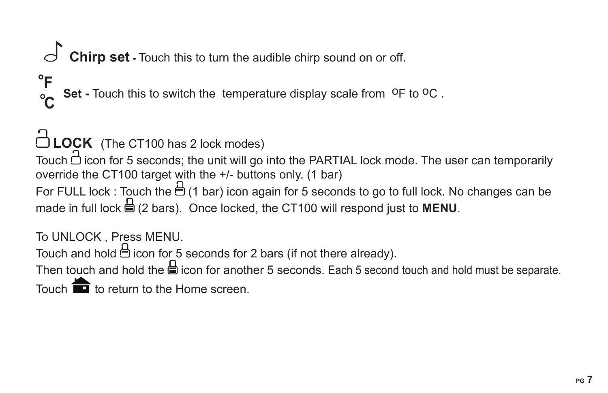**Chirp set -** Touch this to turn the audible chirp sound on or off.

 $\mathsf{P}^{\circ}$ **Set - Touch this to switch the temperature display scale from <sup>O</sup>F to <sup>O</sup>C.** 

## $\Box$  **LOCK** (The CT100 has 2 lock modes)

Touch  $\dot{\Box}$  icon for 5 seconds; the unit will go into the PARTIAL lock mode. The user can temporarily override the CT100 target with the +/- buttons only. (1 bar)

For FULL lock : Touch the  $\triangleq$  (1 bar) icon again for 5 seconds to go to full lock. No changes can be made in full lock **(**2 bars). Once locked, the CT100 will respond just to MENU.

To UNLOCK , Press MENU.

Touch and hold  $\stackrel{\mathbf{A}}{=}$  icon for 5 seconds for 2 bars (if not there already).

Then touch and hold the  $\triangleq$  icon for another 5 seconds. Each 5 second touch and hold must be separate.

Touch  $\blacksquare$  to return to the Home screen.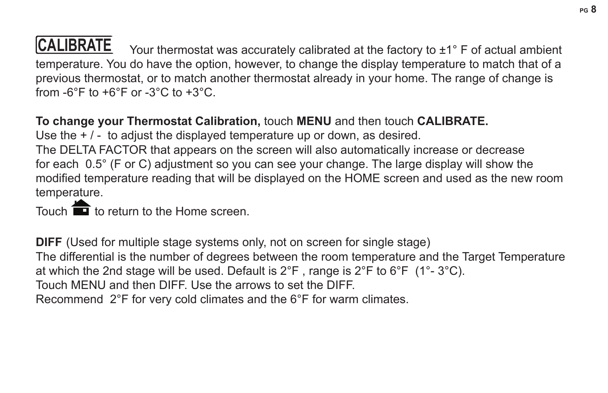**CALIBRATE** Your thermostat was accurately calibrated at the factory to ±1° F of actual ambient temperature. You do have the option, however, to change the display temperature to match that of a previous thermostat, or to match another thermostat already in your home. The range of change is from  $-6^\circ$ F to  $+6^\circ$ F or  $-3^\circ$ C to  $+3^\circ$ C.

#### **To change your Thermostat Calibration,** touch **MENU** and then touch **CALIBRATE.**

Use the  $+/-$  to adjust the displayed temperature up or down, as desired.

The DELTA FACTOR that appears on the screen will also automatically increase or decrease for each 0.5° (F or C) adjustment so you can see your change. The large display will show the modified temperature reading that will be displayed on the HOME screen and used as the new room temperature.

Touch  $\blacksquare$  to return to the Home screen.

**DIFF** (Used for multiple stage systems only, not on screen for single stage) The differential is the number of degrees between the room temperature and the Target Temperature at which the 2nd stage will be used. Default is  $2^{\circ}F$ , range is  $2^{\circ}F$  to  $6^{\circ}F$  (1°-3°C). Touch MENU and then DIFF. Use the arrows to set the DIFF. Recommend 2°F for very cold climates and the 6°F for warm climates.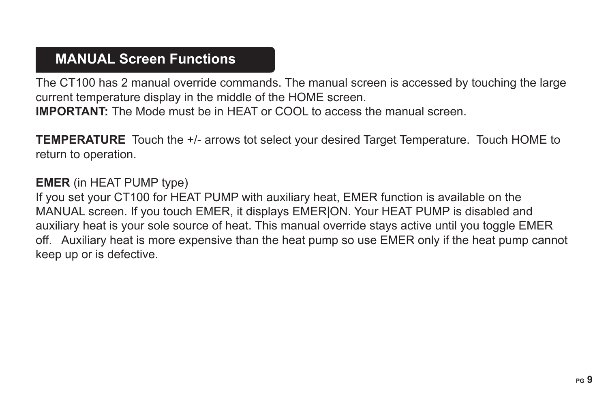### **MANUAL Screen Functions**

The CT100 has 2 manual override commands. The manual screen is accessed by touching the large current temperature display in the middle of the HOME screen. **IMPORTANT:** The Mode must be in HEAT or COOL to access the manual screen.

**TEMPERATURE** Touch the +/- arrows tot select your desired Target Temperature. Touch HOME to return to operation.

#### **EMER** (in HEAT PUMP type)

If you set your CT100 for HEAT PUMP with auxiliary heat, EMER function is available on the MANUAL screen. If you touch EMER, it displays EMER|ON. Your HEAT PUMP is disabled and auxiliary heat is your sole source of heat. This manual override stays active until you toggle EMER off. Auxiliary heat is more expensive than the heat pump so use EMER only if the heat pump cannot keep up or is defective.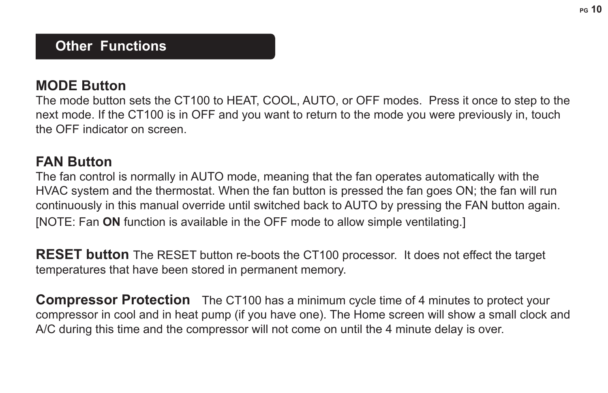#### **Other Functions**

#### **MODE Button**

The mode button sets the CT100 to HEAT, COOL, AUTO, or OFF modes. Press it once to step to the next mode. If the CT100 is in OFF and you want to return to the mode you were previously in, touch the OFF indicator on screen.

#### **FAN Button**

The fan control is normally in AUTO mode, meaning that the fan operates automatically with the HVAC system and the thermostat. When the fan button is pressed the fan goes ON; the fan will run continuously in this manual override until switched back to AUTO by pressing the FAN button again. [NOTE: Fan **ON** function is available in the OFF mode to allow simple ventilating.]

**RESET button** The RESET button re-boots the CT100 processor. It does not effect the target temperatures that have been stored in permanent memory.

**Compressor Protection** The CT100 has a minimum cycle time of 4 minutes to protect your compressor in cool and in heat pump (if you have one). The Home screen will show a small clock and A/C during this time and the compressor will not come on until the 4 minute delay is over.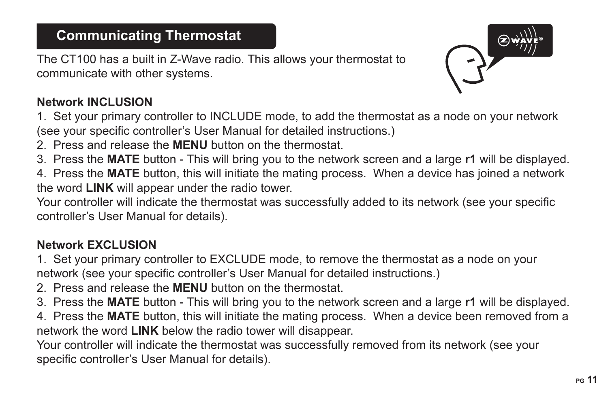### **Communicating Thermostat**

The CT100 has a built in Z-Wave radio. This allows your thermostat to communicate with other systems.



#### **Network INCLUSION**

1. Set your primary controller to INCLUDE mode, to add the thermostat as a node on your network (see your specific controller's User Manual for detailed instructions.)

- 2. Press and release the **MENU** button on the thermostat.
- 3. Press the **MATE** button This will bring you to the network screen and a large **r1** will be displayed.
- 4. Press the **MATE** button, this will initiate the mating process. When a device has joined a network the word **LINK** will appear under the radio tower.

Your controller will indicate the thermostat was successfully added to its network (see your specific controller's User Manual for details).

#### **Network FXCLUSION**

1. Set your primary controller to EXCLUDE mode, to remove the thermostat as a node on your network (see your specific controller's User Manual for detailed instructions.)

- 2. Press and release the **MENU** button on the thermostat.
- 3. Press the **MATE** button This will bring you to the network screen and a large **r1** will be displayed.

4. Press the **MATE** button, this will initiate the mating process. When a device been removed from a network the word **LINK** below the radio tower will disappear.

Your controller will indicate the thermostat was successfully removed from its network (see your specific controller's User Manual for details).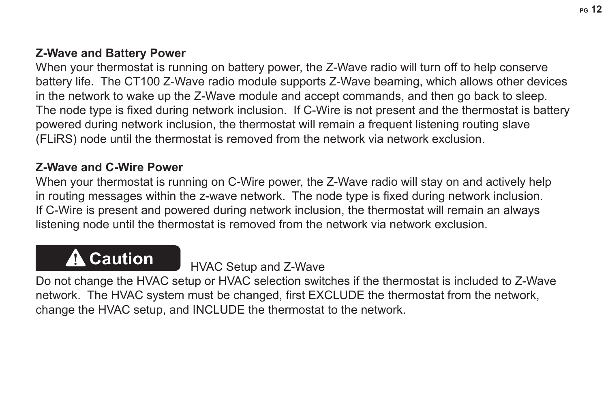#### **Z-Wave and Battery Power**

When your thermostat is running on battery power, the Z-Wave radio will turn off to help conserve battery life. The CT100 Z-Wave radio module supports Z-Wave beaming, which allows other devices in the network to wake up the Z-Wave module and accept commands, and then go back to sleep. The node type is fixed during network inclusion. If C-Wire is not present and the thermostat is battery powered during network inclusion, the thermostat will remain a frequent listening routing slave (FLiRS) node until the thermostat is removed from the network via network exclusion.

#### **Z-Wave and C-Wire Power**

When your thermostat is running on C-Wire power, the Z-Wave radio will stay on and actively help in routing messages within the z-wave network. The node type is fixed during network inclusion. If C-Wire is present and powered during network inclusion, the thermostat will remain an always listening node until the thermostat is removed from the network via network exclusion.

**Caution** HVAC Setup and Z-Wave

Do not change the HVAC setup or HVAC selection switches if the thermostat is included to Z-Wave network. The HVAC system must be changed, first EXCLUDE the thermostat from the network, change the HVAC setup, and INCLUDE the thermostat to the network.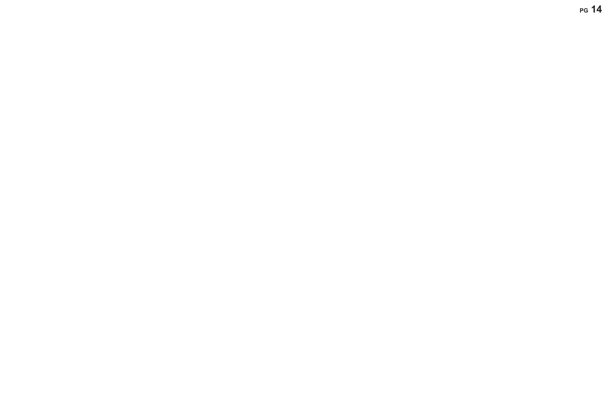**PG 14**